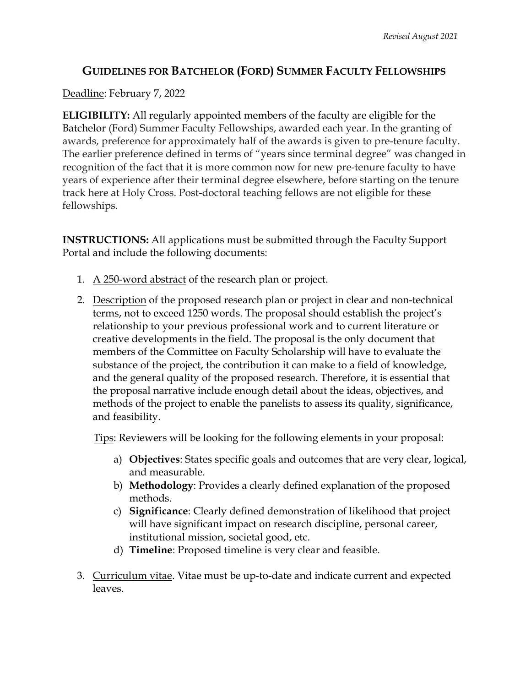## **GUIDELINES FOR BATCHELOR (FORD) SUMMER FACULTY FELLOWSHIPS**

## Deadline: February 7, 2022

**ELIGIBILITY:** All regularly appointed members of the faculty are eligible for the Batchelor (Ford) Summer Faculty Fellowships, awarded each year. In the granting of awards, preference for approximately half of the awards is given to pre-tenure faculty. The earlier preference defined in terms of "years since terminal degree" was changed in recognition of the fact that it is more common now for new pre-tenure faculty to have years of experience after their terminal degree elsewhere, before starting on the tenure track here at Holy Cross. Post-doctoral teaching fellows are not eligible for these fellowships.

**INSTRUCTIONS:** All applications must be submitted through the Faculty Support Portal and include the following documents:

- 1. A 250-word abstract of the research plan or project.
- 2. Description of the proposed research plan or project in clear and non-technical terms, not to exceed 1250 words. The proposal should establish the project's relationship to your previous professional work and to current literature or creative developments in the field. The proposal is the only document that members of the Committee on Faculty Scholarship will have to evaluate the substance of the project, the contribution it can make to a field of knowledge, and the general quality of the proposed research. Therefore, it is essential that the proposal narrative include enough detail about the ideas, objectives, and methods of the project to enable the panelists to assess its quality, significance, and feasibility.

Tips: Reviewers will be looking for the following elements in your proposal:

- a) **Objectives**: States specific goals and outcomes that are very clear, logical, and measurable.
- b) **Methodology**: Provides a clearly defined explanation of the proposed methods.
- c) **Significance**: Clearly defined demonstration of likelihood that project will have significant impact on research discipline, personal career, institutional mission, societal good, etc.
- d) **Timeline**: Proposed timeline is very clear and feasible.
- 3. Curriculum vitae. Vitae must be up-to-date and indicate current and expected leaves.